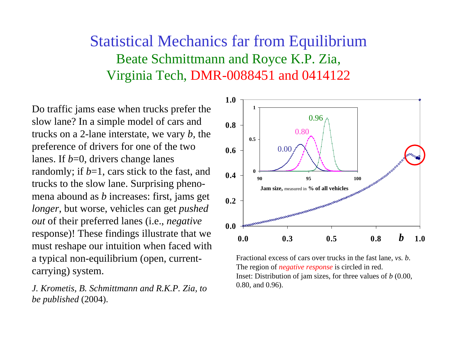## Statistical Mechanics far from Equilibrium Beate Schmittmann and Royce K.P. Zia, Virginia Tech, DMR-0088451 and 0414122

Do traffic jams ease when trucks prefer the slow lane? In a simple model of cars and trucks on a 2-lane interstate, we vary *b,* the preference of drivers for one of the two lanes. If *b*=0, drivers change lanes randomly; if *b*=1, cars stick to the fast, and trucks to the slow lane. Surprising phenomena abound as *b* increases: first, jams get *longer*, but worse, vehicles can get *pushed out* of their preferred lanes (i.e., *negative*  response)! These findings illustrate that we must reshape our intuition when faced with a typical non-equilibrium (open, currentcarrying) system.

*J. Krometis, B. Schmittmann and R.K.P. Zia, to be published* (2004).



Fractional excess of cars over trucks in the fast lane, *vs. b*. The region of *negative response* is circled in red. Inset: Distribution of jam sizes, for three values of *b* (0.00, 0.80, and 0.96).